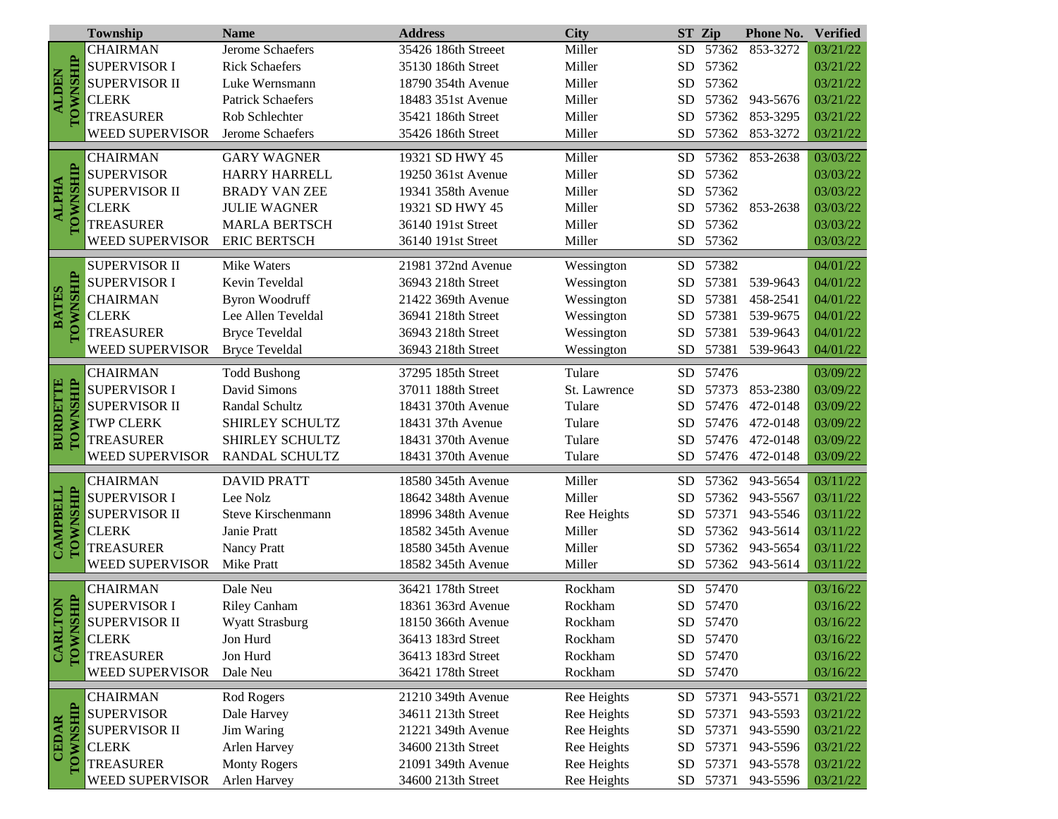|                                 | Township               | <b>Name</b>              | <b>Address</b>      | <b>City</b>  | <b>ST</b>  | Zip      | Phone No.      | <b>Verified</b> |
|---------------------------------|------------------------|--------------------------|---------------------|--------------|------------|----------|----------------|-----------------|
| TOWNSHIP<br><b>ALDEN</b>        | <b>CHAIRMAN</b>        | Jerome Schaefers         | 35426 186th Streeet | Miller       | <b>SD</b>  | 57362    | 853-3272       | 03/21/22        |
|                                 | <b>SUPERVISOR I</b>    | <b>Rick Schaefers</b>    | 35130 186th Street  | Miller       | <b>SD</b>  | 57362    |                | 03/21/22        |
|                                 | <b>SUPERVISOR II</b>   | Luke Wernsmann           | 18790 354th Avenue  | Miller       | <b>SD</b>  | 57362    |                | 03/21/22        |
|                                 | <b>CLERK</b>           | <b>Patrick Schaefers</b> | 18483 351st Avenue  | Miller       | SD         |          | 57362 943-5676 | 03/21/22        |
|                                 | <b>TREASURER</b>       | Rob Schlechter           | 35421 186th Street  | Miller       | <b>SD</b>  | 57362    | 853-3295       | 03/21/22        |
|                                 | <b>WEED SUPERVISOR</b> | Jerome Schaefers         | 35426 186th Street  | Miller       | <b>SD</b>  | 57362    | 853-3272       | 03/21/22        |
|                                 | <b>CHAIRMAN</b>        | <b>GARY WAGNER</b>       | 19321 SD HWY 45     | Miller       | <b>SD</b>  |          | 57362 853-2638 | 03/03/22        |
|                                 | <b>SUPERVISOR</b>      | <b>HARRY HARRELL</b>     | 19250 361st Avenue  | Miller       | <b>SD</b>  | 57362    |                | 03/03/22        |
|                                 | <b>SUPERVISOR II</b>   | <b>BRADY VAN ZEE</b>     | 19341 358th Avenue  | Miller       | <b>SD</b>  | 57362    |                | 03/03/22        |
| <b>ALPHA</b>                    | <b>CLERK</b>           | <b>JULIE WAGNER</b>      | 19321 SD HWY 45     | Miller       | <b>SD</b>  |          | 57362 853-2638 | 03/03/22        |
| TOWNSHIP                        | <b>TREASURER</b>       | <b>MARLA BERTSCH</b>     | 36140 191st Street  | Miller       | <b>SD</b>  | 57362    |                | 03/03/22        |
|                                 | WEED SUPERVISOR        | <b>ERIC BERTSCH</b>      | 36140 191st Street  | Miller       |            | SD 57362 |                | 03/03/22        |
|                                 | <b>SUPERVISOR II</b>   | <b>Mike Waters</b>       | 21981 372nd Avenue  | Wessington   | <b>SD</b>  | 57382    |                | 04/01/22        |
| <b>TOWNSHIP</b>                 | <b>SUPERVISOR I</b>    | Kevin Teveldal           | 36943 218th Street  | Wessington   | ${\rm SD}$ | 57381    | 539-9643       | 04/01/22        |
| <b>BATES</b>                    | <b>CHAIRMAN</b>        | <b>Byron Woodruff</b>    | 21422 369th Avenue  | Wessington   | <b>SD</b>  | 57381    | 458-2541       | 04/01/22        |
|                                 | <b>CLERK</b>           | Lee Allen Teveldal       | 36941 218th Street  | Wessington   | SD         | 57381    | 539-9675       | 04/01/22        |
|                                 | <b>TREASURER</b>       | <b>Bryce Teveldal</b>    | 36943 218th Street  | Wessington   | ${\rm SD}$ | 57381    | 539-9643       | 04/01/22        |
|                                 | WEED SUPERVISOR        | <b>Bryce Teveldal</b>    | 36943 218th Street  | Wessington   | <b>SD</b>  | 57381    | 539-9643       | 04/01/22        |
|                                 | <b>CHAIRMAN</b>        | <b>Todd Bushong</b>      | 37295 185th Street  | Tulare       | <b>SD</b>  | 57476    |                | 03/09/22        |
| TOWNSHIP<br><b>BURDETTE</b>     | <b>SUPERVISOR I</b>    | David Simons             | 37011 188th Street  | St. Lawrence | SD         | 57373    | 853-2380       | 03/09/22        |
|                                 | <b>SUPERVISOR II</b>   | Randal Schultz           | 18431 370th Avenue  | Tulare       | SD         | 57476    | 472-0148       | 03/09/22        |
|                                 | <b>TWP CLERK</b>       | SHIRLEY SCHULTZ          | 18431 37th Avenue   | Tulare       | <b>SD</b>  |          | 57476 472-0148 | 03/09/22        |
|                                 | <b>TREASURER</b>       | SHIRLEY SCHULTZ          | 18431 370th Avenue  | Tulare       | SD         | 57476    | 472-0148       | 03/09/22        |
|                                 | WEED SUPERVISOR        | RANDAL SCHULTZ           | 18431 370th Avenue  | Tulare       | <b>SD</b>  |          | 57476 472-0148 | 03/09/22        |
| TOWNSHIP<br>CAMPBELL            | <b>CHAIRMAN</b>        | <b>DAVID PRATT</b>       | 18580 345th Avenue  | Miller       | <b>SD</b>  | 57362    | 943-5654       | 03/11/22        |
|                                 | <b>SUPERVISOR I</b>    | Lee Nolz                 | 18642 348th Avenue  | Miller       | <b>SD</b>  | 57362    | 943-5567       | 03/11/22        |
|                                 | <b>SUPERVISOR II</b>   | Steve Kirschenmann       | 18996 348th Avenue  | Ree Heights  | <b>SD</b>  | 57371    | 943-5546       | 03/11/22        |
|                                 | <b>CLERK</b>           | Janie Pratt              | 18582 345th Avenue  | Miller       | SD         | 57362    | 943-5614       | 03/11/22        |
|                                 | <b>TREASURER</b>       | Nancy Pratt              | 18580 345th Avenue  | Miller       | <b>SD</b>  | 57362    | 943-5654       | 03/11/22        |
|                                 | WEED SUPERVISOR        | <b>Mike Pratt</b>        | 18582 345th Avenue  | Miller       | <b>SD</b>  | 57362    | 943-5614       | 03/11/22        |
|                                 | <b>CHAIRMAN</b>        | Dale Neu                 | 36421 178th Street  | Rockham      | <b>SD</b>  | 57470    |                | 03/16/22        |
| SHIP<br>ION                     | <b>SUPERVISOR I</b>    | <b>Riley Canham</b>      | 18361 363rd Avenue  | Rockham      |            | SD 57470 |                | 03/16/22        |
|                                 | <b>SUPERVISOR II</b>   | Wyatt Strasburg          | 18150 366th Avenue  | Rockham      |            | SD 57470 |                | 03/16/22        |
|                                 | <b>CLERK</b>           | Jon Hurd                 | 36413 183rd Street  | Rockham      |            | SD 57470 |                | 03/16/22        |
| <b>TOWNS</b><br>CARLI           | <b>TREASURER</b>       | Jon Hurd                 | 36413 183rd Street  | Rockham      |            | SD 57470 |                | 03/16/22        |
|                                 | WEED SUPERVISOR        | Dale Neu                 | 36421 178th Street  | Rockham      |            | SD 57470 |                | 03/16/22        |
|                                 | <b>CHAIRMAN</b>        | Rod Rogers               | 21210 349th Avenue  | Ree Heights  | SD.        | 57371    | 943-5571       | 03/21/22        |
| <b>TOWNSHIP</b><br><b>CEDAR</b> | <b>SUPERVISOR</b>      | Dale Harvey              | 34611 213th Street  | Ree Heights  | <b>SD</b>  | 57371    | 943-5593       | 03/21/22        |
|                                 | <b>SUPERVISOR II</b>   | Jim Waring               | 21221 349th Avenue  | Ree Heights  | <b>SD</b>  | 57371    | 943-5590       | 03/21/22        |
|                                 | <b>CLERK</b>           | Arlen Harvey             | 34600 213th Street  | Ree Heights  | <b>SD</b>  | 57371    | 943-5596       | 03/21/22        |
|                                 | <b>TREASURER</b>       | <b>Monty Rogers</b>      | 21091 349th Avenue  | Ree Heights  | ${\rm SD}$ | 57371    | 943-5578       | 03/21/22        |
|                                 | WEED SUPERVISOR        | Arlen Harvey             | 34600 213th Street  | Ree Heights  |            | SD 57371 | 943-5596       | 03/21/22        |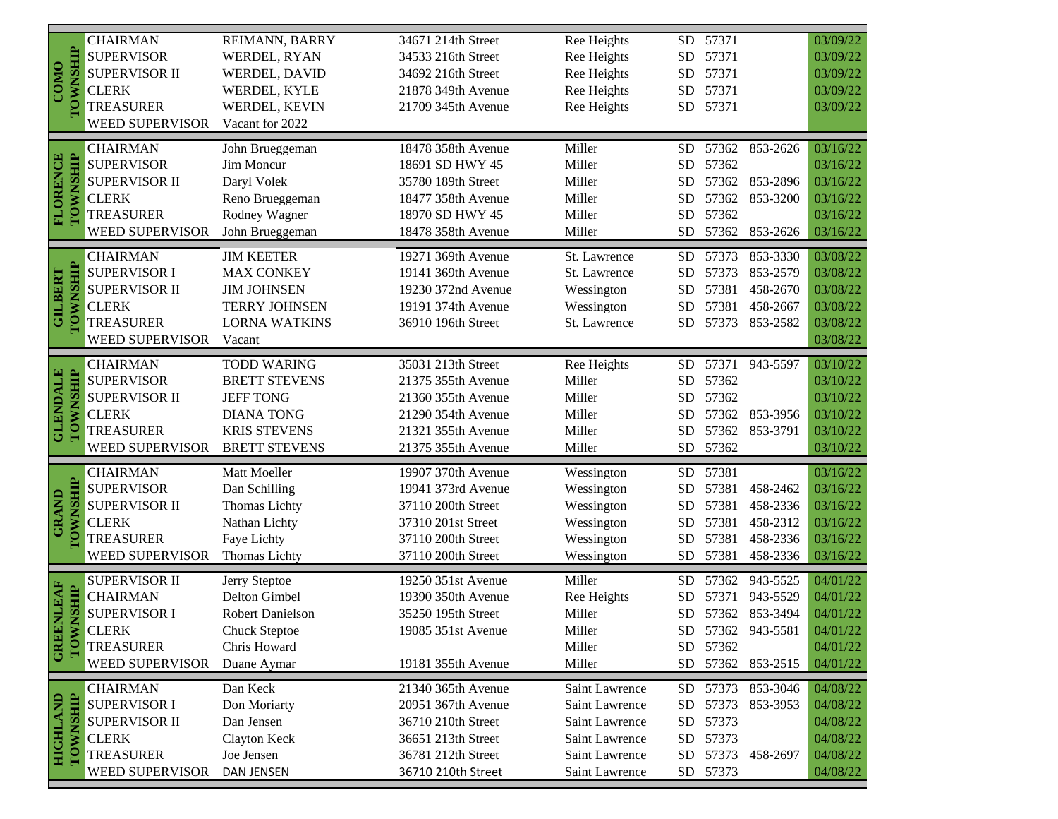|                                    | <b>CHAIRMAN</b><br><b>SUPERVISOR</b> | REIMANN, BARRY          | 34671 214th Street | Ree Heights    | <b>SD</b>  | 57371<br>57371 |                   | 03/09/22 |
|------------------------------------|--------------------------------------|-------------------------|--------------------|----------------|------------|----------------|-------------------|----------|
|                                    |                                      | WERDEL, RYAN            | 34533 216th Street | Ree Heights    | <b>SD</b>  |                |                   | 03/09/22 |
| COMO                               | <b>SUPERVISOR II</b>                 | WERDEL, DAVID           | 34692 216th Street | Ree Heights    | <b>SD</b>  | 57371          |                   | 03/09/22 |
| <b>TOWNSHIP</b>                    | <b>CLERK</b>                         | WERDEL, KYLE            | 21878 349th Avenue | Ree Heights    | <b>SD</b>  | 57371          |                   | 03/09/22 |
|                                    | <b>TREASURER</b>                     | WERDEL, KEVIN           | 21709 345th Avenue | Ree Heights    | <b>SD</b>  | 57371          |                   | 03/09/22 |
|                                    | <b>WEED SUPERVISOR</b>               | Vacant for 2022         |                    |                |            |                |                   |          |
|                                    | <b>CHAIRMAN</b>                      | John Brueggeman         | 18478 358th Avenue | Miller         | <b>SD</b>  | 57362          | 853-2626          | 03/16/22 |
| <b>FLORENCE</b><br><b>TOWNSHIP</b> | <b>SUPERVISOR</b>                    | Jim Moncur              | 18691 SD HWY 45    | Miller         | <b>SD</b>  | 57362          |                   | 03/16/22 |
|                                    | SUPERVISOR II                        | Daryl Volek             | 35780 189th Street | Miller         | <b>SD</b>  | 57362          | 853-2896          | 03/16/22 |
|                                    | <b>CLERK</b>                         | Reno Brueggeman         | 18477 358th Avenue | Miller         | <b>SD</b>  | 57362          | 853-3200          | 03/16/22 |
|                                    | <b>TREASURER</b>                     | Rodney Wagner           | 18970 SD HWY 45    | Miller         | <b>SD</b>  | 57362          |                   | 03/16/22 |
|                                    | <b>WEED SUPERVISOR</b>               | John Brueggeman         | 18478 358th Avenue | Miller         | <b>SD</b>  | 57362          | 853-2626          | 03/16/22 |
|                                    |                                      |                         |                    |                |            |                |                   |          |
|                                    | <b>CHAIRMAN</b>                      | <b>JIM KEETER</b>       | 19271 369th Avenue | St. Lawrence   | <b>SD</b>  | 57373          | 853-3330          | 03/08/22 |
|                                    | <b>SUPERVISOR I</b>                  | <b>MAX CONKEY</b>       | 19141 369th Avenue | St. Lawrence   | <b>SD</b>  | 57373          | 853-2579          | 03/08/22 |
|                                    | <b>SUPERVISOR II</b>                 | <b>JIM JOHNSEN</b>      | 19230 372nd Avenue | Wessington     | <b>SD</b>  | 57381          | 458-2670          | 03/08/22 |
| TOWNSHIP<br><b>GILBERT</b>         | <b>CLERK</b>                         | <b>TERRY JOHNSEN</b>    | 19191 374th Avenue | Wessington     | <b>SD</b>  | 57381          | 458-2667          | 03/08/22 |
|                                    | <b>TREASURER</b>                     | <b>LORNA WATKINS</b>    | 36910 196th Street | St. Lawrence   | <b>SD</b>  | 57373          | 853-2582          | 03/08/22 |
|                                    | <b>WEED SUPERVISOR</b>               | Vacant                  |                    |                |            |                |                   | 03/08/22 |
|                                    | <b>CHAIRMAN</b>                      | <b>TODD WARING</b>      | 35031 213th Street | Ree Heights    | <b>SD</b>  | 57371          | 943-5597          | 03/10/22 |
|                                    | <b>SUPERVISOR</b>                    | <b>BRETT STEVENS</b>    | 21375 355th Avenue | Miller         | <b>SD</b>  | 57362          |                   | 03/10/22 |
| <b>GLENDALE</b><br>TOWNSHIP        | SUPERVISOR II                        | <b>JEFF TONG</b>        | 21360 355th Avenue | Miller         | <b>SD</b>  | 57362          |                   | 03/10/22 |
|                                    | <b>CLERK</b>                         | <b>DIANA TONG</b>       | 21290 354th Avenue | Miller         | <b>SD</b>  | 57362          | 853-3956          | 03/10/22 |
|                                    | <b>TREASURER</b>                     | <b>KRIS STEVENS</b>     | 21321 355th Avenue | Miller         | <b>SD</b>  | 57362          | 853-3791          | 03/10/22 |
|                                    | <b>WEED SUPERVISOR</b>               | <b>BRETT STEVENS</b>    | 21375 355th Avenue | Miller         | <b>SD</b>  | 57362          |                   | 03/10/22 |
| <b>TOWNSHIP</b><br><b>GRAND</b>    | <b>CHAIRMAN</b>                      | Matt Moeller            | 19907 370th Avenue | Wessington     | <b>SD</b>  | 57381          |                   | 03/16/22 |
|                                    | <b>SUPERVISOR</b>                    | Dan Schilling           | 19941 373rd Avenue | Wessington     | <b>SD</b>  | 57381          | 458-2462          | 03/16/22 |
|                                    | SUPERVISOR II                        | Thomas Lichty           | 37110 200th Street | Wessington     | <b>SD</b>  | 57381          | 458-2336          | 03/16/22 |
|                                    | <b>CLERK</b>                         | Nathan Lichty           | 37310 201st Street | Wessington     | <b>SD</b>  | 57381          | 458-2312          | 03/16/22 |
|                                    | <b>TREASURER</b>                     | Faye Lichty             | 37110 200th Street | Wessington     | <b>SD</b>  | 57381          | 458-2336          | 03/16/22 |
|                                    | WEED SUPERVISOR                      | <b>Thomas Lichty</b>    | 37110 200th Street | Wessington     | <b>SD</b>  | 57381          | 458-2336          | 03/16/22 |
|                                    |                                      |                         |                    |                |            |                |                   |          |
|                                    | <b>SUPERVISOR II</b>                 | Jerry Steptoe           | 19250 351st Avenue | Miller         | <b>SD</b>  | 57362          | 943-5525          | 04/01/22 |
| <b>NLEAF</b><br>NSHIP              | <b>CHAIRMAN</b>                      | Delton Gimbel           | 19390 350th Avenue | Ree Heights    | <b>SD</b>  | 57371          | 943-5529          | 04/01/22 |
|                                    | <b>SUPERVISOR I</b>                  | <b>Robert Danielson</b> | 35250 195th Street | Miller         | SD         | 57362          | 853-3494          | 04/01/22 |
| <b>GREE</b><br>TOWI                | <b>CLERK</b>                         | <b>Chuck Steptoe</b>    | 19085 351st Avenue | Miller         |            |                | SD 57362 943-5581 | 04/01/22 |
|                                    | <b>TREASURER</b>                     | Chris Howard            |                    | Miller         | SD         | 57362          |                   | 04/01/22 |
|                                    | <b>WEED SUPERVISOR</b>               | Duane Aymar             | 19181 355th Avenue | Miller         | <b>SD</b>  | 57362          | 853-2515          | 04/01/22 |
| <b>TOWNSHIP</b><br><b>HIGHLAND</b> | <b>CHAIRMAN</b>                      | Dan Keck                | 21340 365th Avenue | Saint Lawrence | <b>SD</b>  | 57373          | 853-3046          | 04/08/22 |
|                                    | <b>SUPERVISOR I</b>                  | Don Moriarty            | 20951 367th Avenue | Saint Lawrence | <b>SD</b>  | 57373          | 853-3953          | 04/08/22 |
|                                    | <b>SUPERVISOR II</b>                 | Dan Jensen              | 36710 210th Street | Saint Lawrence | <b>SD</b>  | 57373          |                   | 04/08/22 |
|                                    | <b>CLERK</b>                         | Clayton Keck            | 36651 213th Street | Saint Lawrence | ${\rm SD}$ | 57373          |                   | 04/08/22 |
|                                    | <b>TREASURER</b>                     | Joe Jensen              | 36781 212th Street | Saint Lawrence | ${\rm SD}$ | 57373          | 458-2697          | 04/08/22 |
|                                    | WEED SUPERVISOR                      | DAN JENSEN              | 36710 210th Street | Saint Lawrence |            | SD 57373       |                   | 04/08/22 |
|                                    |                                      |                         |                    |                |            |                |                   |          |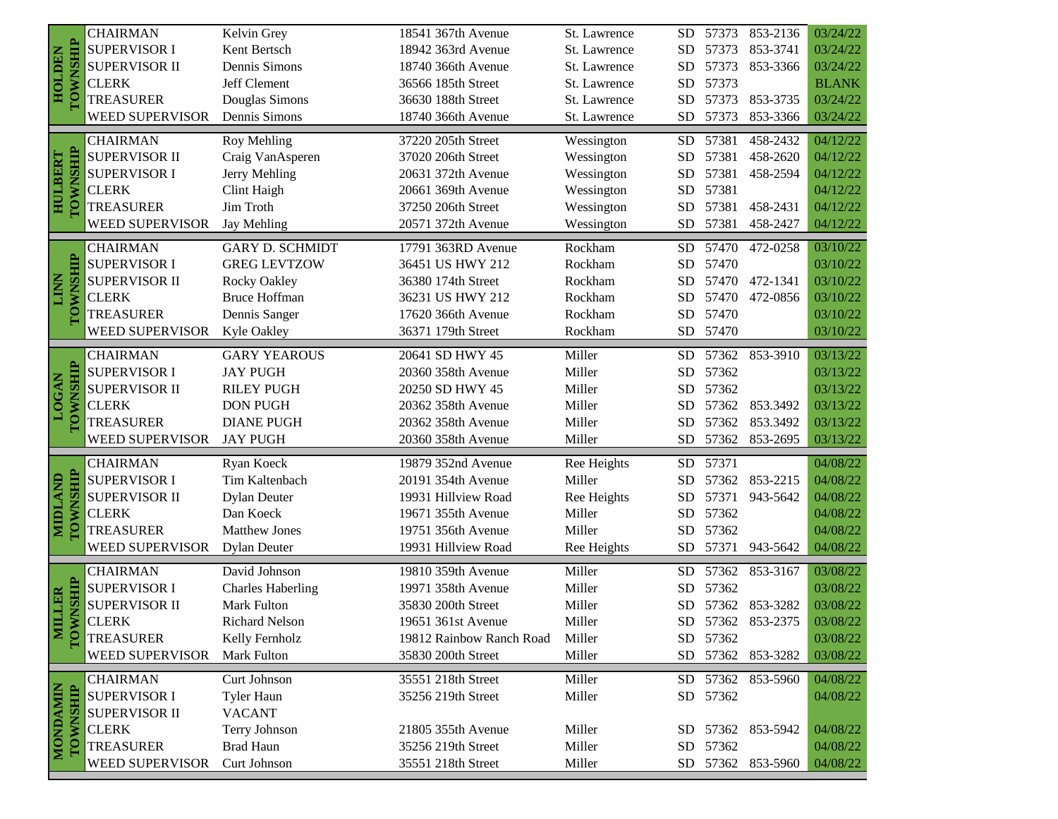|                                  | <b>CHAIRMAN</b>        | Kelvin Grey              | 18541 367th Avenue       | St. Lawrence | SD.        | 57373    | 853-2136          | 03/24/22     |
|----------------------------------|------------------------|--------------------------|--------------------------|--------------|------------|----------|-------------------|--------------|
| <b>TOWNSHIP</b><br><b>NACTOH</b> | <b>SUPERVISOR I</b>    | Kent Bertsch             | 18942 363rd Avenue       | St. Lawrence | <b>SD</b>  | 57373    | 853-3741          | 03/24/22     |
|                                  | <b>SUPERVISOR II</b>   | Dennis Simons            | 18740 366th Avenue       | St. Lawrence | <b>SD</b>  | 57373    | 853-3366          | 03/24/22     |
|                                  | <b>CLERK</b>           | Jeff Clement             | 36566 185th Street       | St. Lawrence | ${\rm SD}$ | 57373    |                   | <b>BLANK</b> |
|                                  | <b>TREASURER</b>       | Douglas Simons           | 36630 188th Street       | St. Lawrence | <b>SD</b>  |          | 57373 853-3735    | 03/24/22     |
|                                  | <b>WEED SUPERVISOR</b> | Dennis Simons            | 18740 366th Avenue       | St. Lawrence | ${\rm SD}$ | 57373    | 853-3366          | 03/24/22     |
|                                  | <b>CHAIRMAN</b>        | Roy Mehling              | 37220 205th Street       | Wessington   | <b>SD</b>  | 57381    | 458-2432          | 04/12/22     |
|                                  | SUPERVISOR II          | Craig VanAsperen         | 37020 206th Street       | Wessington   | ${\rm SD}$ | 57381    | 458-2620          | 04/12/22     |
|                                  | <b>SUPERVISOR I</b>    | Jerry Mehling            | 20631 372th Avenue       | Wessington   | ${\rm SD}$ | 57381    | 458-2594          | 04/12/22     |
| <b>HULBERT</b>                   | <b>CLERK</b>           | Clint Haigh              | 20661 369th Avenue       | Wessington   | ${\rm SD}$ | 57381    |                   | 04/12/22     |
| <b>TOWNSHIP</b>                  | <b>TREASURER</b>       | Jim Troth                | 37250 206th Street       | Wessington   | <b>SD</b>  | 57381    | 458-2431          | 04/12/22     |
|                                  | WEED SUPERVISOR        | Jay Mehling              | 20571 372th Avenue       | Wessington   | <b>SD</b>  | 57381    | 458-2427          | 04/12/22     |
|                                  | <b>CHAIRMAN</b>        | <b>GARY D. SCHMIDT</b>   | 17791 363RD Avenue       | Rockham      | <b>SD</b>  | 57470    | 472-0258          | 03/10/22     |
|                                  | <b>SUPERVISOR I</b>    | <b>GREG LEVTZOW</b>      | 36451 US HWY 212         | Rockham      | ${\rm SD}$ | 57470    |                   | 03/10/22     |
|                                  | <b>SUPERVISOR II</b>   | Rocky Oakley             | 36380 174th Street       | Rockham      | <b>SD</b>  | 57470    | 472-1341          | 03/10/22     |
| LINN                             | <b>CLERK</b>           | <b>Bruce Hoffman</b>     | 36231 US HWY 212         | Rockham      | <b>SD</b>  | 57470    | 472-0856          | 03/10/22     |
| TOWNSHIP                         | <b>TREASURER</b>       | Dennis Sanger            | 17620 366th Avenue       | Rockham      | <b>SD</b>  | 57470    |                   | 03/10/22     |
|                                  | WEED SUPERVISOR        | <b>Kyle Oakley</b>       | 36371 179th Street       | Rockham      | SD         | 57470    |                   | 03/10/22     |
|                                  | <b>CHAIRMAN</b>        | <b>GARY YEAROUS</b>      | 20641 SD HWY 45          | Miller       | <b>SD</b>  |          | 57362 853-3910    | 03/13/22     |
| TOWNSHIP                         | <b>SUPERVISOR I</b>    | <b>JAY PUGH</b>          | 20360 358th Avenue       | Miller       | SD.        | 57362    |                   | 03/13/22     |
| <b>LOGAN</b>                     | <b>SUPERVISOR II</b>   | <b>RILEY PUGH</b>        | 20250 SD HWY 45          | Miller       | SD.        | 57362    |                   | 03/13/22     |
|                                  | <b>CLERK</b>           | <b>DON PUGH</b>          | 20362 358th Avenue       | Miller       | <b>SD</b>  |          | 57362 853.3492    | 03/13/22     |
|                                  | <b>TREASURER</b>       | <b>DIANE PUGH</b>        | 20362 358th Avenue       | Miller       | <b>SD</b>  | 57362    | 853.3492          | 03/13/22     |
|                                  | WEED SUPERVISOR        | <b>JAY PUGH</b>          | 20360 358th Avenue       | Miller       | <b>SD</b>  | 57362    | 853-2695          | 03/13/22     |
|                                  | <b>CHAIRMAN</b>        | Ryan Koeck               | 19879 352nd Avenue       | Ree Heights  | <b>SD</b>  | 57371    |                   | 04/08/22     |
|                                  | <b>SUPERVISOR I</b>    | Tim Kaltenbach           | 20191 354th Avenue       | Miller       | <b>SD</b>  | 57362    | 853-2215          | 04/08/22     |
| TOWNSHIP<br>MIDLAND              | SUPERVISOR II          | <b>Dylan Deuter</b>      | 19931 Hillview Road      | Ree Heights  | ${\rm SD}$ | 57371    | 943-5642          | 04/08/22     |
|                                  | <b>CLERK</b>           | Dan Koeck                | 19671 355th Avenue       | Miller       | <b>SD</b>  | 57362    |                   | 04/08/22     |
|                                  | <b>TREASURER</b>       | <b>Matthew Jones</b>     | 19751 356th Avenue       | Miller       | <b>SD</b>  | 57362    |                   | 04/08/22     |
|                                  | WEED SUPERVISOR        | <b>Dylan Deuter</b>      | 19931 Hillview Road      | Ree Heights  | <b>SD</b>  | 57371    | 943-5642          | 04/08/22     |
|                                  | <b>CHAIRMAN</b>        | David Johnson            | 19810 359th Avenue       | Miller       | <b>SD</b>  | 57362    | 853-3167          | 03/08/22     |
| VNSHIP                           | <b>SUPERVISOR I</b>    | <b>Charles Haberling</b> | 19971 358th Avenue       | Miller       | <b>SD</b>  | 57362    |                   | 03/08/22     |
|                                  | <b>SUPERVISOR II</b>   | <b>Mark Fulton</b>       | 35830 200th Street       | Miller       | ${\rm SD}$ |          | 57362 853-3282    | 03/08/22     |
| <b>NILLER</b><br>TOWNSHIL        | <b>CLERK</b>           | <b>Richard Nelson</b>    | 19651 361st Avenue       | Miller       |            |          | SD 57362 853-2375 | 03/08/22     |
|                                  | <b>TREASURER</b>       | Kelly Fernholz           | 19812 Rainbow Ranch Road | Miller       |            | SD 57362 |                   | 03/08/22     |
|                                  | WEED SUPERVISOR        | Mark Fulton              | 35830 200th Street       | Miller       |            | SD 57362 | 853-3282          | 03/08/22     |
|                                  | <b>CHAIRMAN</b>        | Curt Johnson             | 35551 218th Street       | Miller       | SD.        |          | 57362 853-5960    | 04/08/22     |
|                                  | <b>SUPERVISOR I</b>    | <b>Tyler Haun</b>        | 35256 219th Street       | Miller       |            | SD 57362 |                   | 04/08/22     |
|                                  | <b>SUPERVISOR II</b>   | <b>VACANT</b>            |                          |              |            |          |                   |              |
| MONDAMIN<br>TOWNSHIP             | <b>CLERK</b>           | Terry Johnson            | 21805 355th Avenue       | Miller       |            |          | SD 57362 853-5942 | 04/08/22     |
|                                  | <b>TREASURER</b>       | <b>Brad Haun</b>         | 35256 219th Street       | Miller       |            | SD 57362 |                   | 04/08/22     |
|                                  | WEED SUPERVISOR        | Curt Johnson             | 35551 218th Street       | Miller       |            |          | SD 57362 853-5960 | 04/08/22     |
|                                  |                        |                          |                          |              |            |          |                   |              |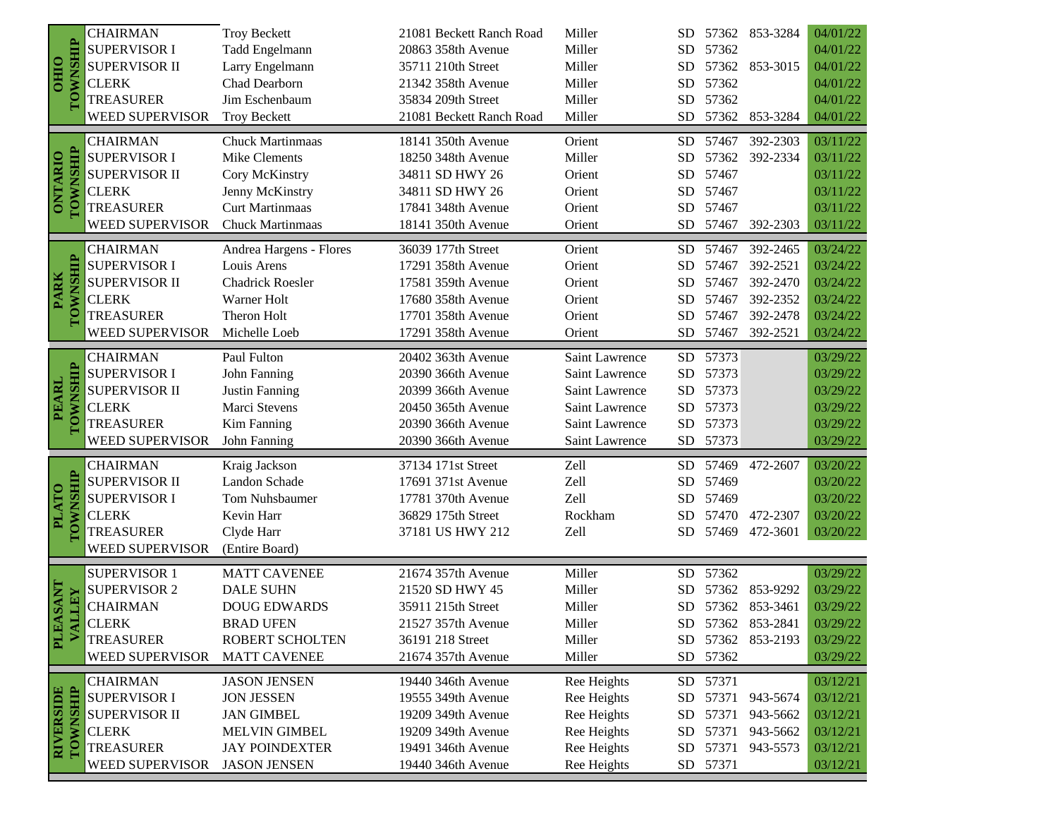| <b>TOWNSHIP</b><br><b>SUPERVISOR I</b><br>Tadd Engelmann<br>Miller<br>57362<br>04/01/22<br>20863 358th Avenue<br><b>SD</b><br>OHIO<br><b>SUPERVISOR II</b><br>Larry Engelmann<br>Miller<br>57362 853-3015<br>04/01/22<br>35711 210th Street<br>SD.<br>Chad Dearborn<br><b>CLERK</b><br>21342 358th Avenue<br>Miller<br>57362<br>04/01/22<br>SD.<br>Miller<br>04/01/22<br><b>TREASURER</b><br>Jim Eschenbaum<br>35834 209th Street<br>57362<br>SD.<br><b>WEED SUPERVISOR</b><br><b>Troy Beckett</b><br>57362 853-3284<br>04/01/22<br>21081 Beckett Ranch Road<br>Miller<br>SD.<br>57467<br>392-2303<br>03/11/22<br><b>CHAIRMAN</b><br><b>Chuck Martinmaas</b><br>18141 350th Avenue<br>Orient<br><b>SD</b><br><b>TOWNSHIP</b><br><b>ONTARIO</b><br><b>SUPERVISOR I</b><br>03/11/22<br>Mike Clements<br>18250 348th Avenue<br>Miller<br>57362 392-2334<br>SD.<br>SUPERVISOR II<br>57467<br>03/11/22<br>Cory McKinstry<br>34811 SD HWY 26<br>Orient<br>SD.<br><b>CLERK</b><br>Jenny McKinstry<br>34811 SD HWY 26<br>57467<br>03/11/22<br>Orient<br><b>SD</b><br><b>Curt Martinmaas</b><br><b>TREASURER</b><br>17841 348th Avenue<br>Orient<br>57467<br>03/11/22<br><b>SD</b><br>WEED SUPERVISOR<br>Chuck Martinmaas<br>18141 350th Avenue<br>Orient<br>SD.<br>57467<br>392-2303<br>03/11/22 |
|------------------------------------------------------------------------------------------------------------------------------------------------------------------------------------------------------------------------------------------------------------------------------------------------------------------------------------------------------------------------------------------------------------------------------------------------------------------------------------------------------------------------------------------------------------------------------------------------------------------------------------------------------------------------------------------------------------------------------------------------------------------------------------------------------------------------------------------------------------------------------------------------------------------------------------------------------------------------------------------------------------------------------------------------------------------------------------------------------------------------------------------------------------------------------------------------------------------------------------------------------------------------------------------|
|                                                                                                                                                                                                                                                                                                                                                                                                                                                                                                                                                                                                                                                                                                                                                                                                                                                                                                                                                                                                                                                                                                                                                                                                                                                                                          |
|                                                                                                                                                                                                                                                                                                                                                                                                                                                                                                                                                                                                                                                                                                                                                                                                                                                                                                                                                                                                                                                                                                                                                                                                                                                                                          |
|                                                                                                                                                                                                                                                                                                                                                                                                                                                                                                                                                                                                                                                                                                                                                                                                                                                                                                                                                                                                                                                                                                                                                                                                                                                                                          |
|                                                                                                                                                                                                                                                                                                                                                                                                                                                                                                                                                                                                                                                                                                                                                                                                                                                                                                                                                                                                                                                                                                                                                                                                                                                                                          |
|                                                                                                                                                                                                                                                                                                                                                                                                                                                                                                                                                                                                                                                                                                                                                                                                                                                                                                                                                                                                                                                                                                                                                                                                                                                                                          |
|                                                                                                                                                                                                                                                                                                                                                                                                                                                                                                                                                                                                                                                                                                                                                                                                                                                                                                                                                                                                                                                                                                                                                                                                                                                                                          |
|                                                                                                                                                                                                                                                                                                                                                                                                                                                                                                                                                                                                                                                                                                                                                                                                                                                                                                                                                                                                                                                                                                                                                                                                                                                                                          |
|                                                                                                                                                                                                                                                                                                                                                                                                                                                                                                                                                                                                                                                                                                                                                                                                                                                                                                                                                                                                                                                                                                                                                                                                                                                                                          |
|                                                                                                                                                                                                                                                                                                                                                                                                                                                                                                                                                                                                                                                                                                                                                                                                                                                                                                                                                                                                                                                                                                                                                                                                                                                                                          |
|                                                                                                                                                                                                                                                                                                                                                                                                                                                                                                                                                                                                                                                                                                                                                                                                                                                                                                                                                                                                                                                                                                                                                                                                                                                                                          |
|                                                                                                                                                                                                                                                                                                                                                                                                                                                                                                                                                                                                                                                                                                                                                                                                                                                                                                                                                                                                                                                                                                                                                                                                                                                                                          |
| 03/24/22<br><b>CHAIRMAN</b><br>Andrea Hargens - Flores<br>36039 177th Street<br>Orient<br>57467<br>392-2465<br><b>SD</b>                                                                                                                                                                                                                                                                                                                                                                                                                                                                                                                                                                                                                                                                                                                                                                                                                                                                                                                                                                                                                                                                                                                                                                 |
| <b>SUPERVISOR I</b><br>Louis Arens<br>Orient<br>392-2521<br>03/24/22<br>17291 358th Avenue<br><b>SD</b><br>57467                                                                                                                                                                                                                                                                                                                                                                                                                                                                                                                                                                                                                                                                                                                                                                                                                                                                                                                                                                                                                                                                                                                                                                         |
| <b>SUPERVISOR II</b><br><b>Chadrick Roesler</b><br>Orient<br>392-2470<br>03/24/22<br>17581 359th Avenue<br>57467<br>SD.                                                                                                                                                                                                                                                                                                                                                                                                                                                                                                                                                                                                                                                                                                                                                                                                                                                                                                                                                                                                                                                                                                                                                                  |
| <b>PARK</b><br>03/24/22<br><b>CLERK</b><br><b>Warner Holt</b><br>17680 358th Avenue<br>Orient<br>392-2352<br>SD<br>57467                                                                                                                                                                                                                                                                                                                                                                                                                                                                                                                                                                                                                                                                                                                                                                                                                                                                                                                                                                                                                                                                                                                                                                 |
| TOWNSHIP<br><b>TREASURER</b><br>03/24/22<br>Theron Holt<br>17701 358th Avenue<br>Orient<br>57467<br>392-2478<br>SD                                                                                                                                                                                                                                                                                                                                                                                                                                                                                                                                                                                                                                                                                                                                                                                                                                                                                                                                                                                                                                                                                                                                                                       |
| <b>WEED SUPERVISOR</b><br>03/24/22<br>Orient<br><b>SD</b><br>57467<br>392-2521<br>Michelle Loeb<br>17291 358th Avenue                                                                                                                                                                                                                                                                                                                                                                                                                                                                                                                                                                                                                                                                                                                                                                                                                                                                                                                                                                                                                                                                                                                                                                    |
| 57373<br><b>CHAIRMAN</b><br>Paul Fulton<br><b>SD</b><br>03/29/22<br>20402 363th Avenue<br>Saint Lawrence                                                                                                                                                                                                                                                                                                                                                                                                                                                                                                                                                                                                                                                                                                                                                                                                                                                                                                                                                                                                                                                                                                                                                                                 |
| <b>SUPERVISOR I</b><br>John Fanning<br>57373<br>03/29/22<br>20390 366th Avenue<br>Saint Lawrence<br><b>SD</b>                                                                                                                                                                                                                                                                                                                                                                                                                                                                                                                                                                                                                                                                                                                                                                                                                                                                                                                                                                                                                                                                                                                                                                            |
| TOWNSHIP<br><b>PEARL</b><br>SUPERVISOR II<br>57373<br>03/29/22<br>Justin Fanning<br>20399 366th Avenue<br>Saint Lawrence<br>SD                                                                                                                                                                                                                                                                                                                                                                                                                                                                                                                                                                                                                                                                                                                                                                                                                                                                                                                                                                                                                                                                                                                                                           |
| SD 57373<br><b>CLERK</b><br>Marci Stevens<br>03/29/22<br>20450 365th Avenue<br>Saint Lawrence                                                                                                                                                                                                                                                                                                                                                                                                                                                                                                                                                                                                                                                                                                                                                                                                                                                                                                                                                                                                                                                                                                                                                                                            |
| <b>TREASURER</b><br>Kim Fanning<br>${\rm SD}$<br>57373<br>03/29/22<br>20390 366th Avenue<br>Saint Lawrence                                                                                                                                                                                                                                                                                                                                                                                                                                                                                                                                                                                                                                                                                                                                                                                                                                                                                                                                                                                                                                                                                                                                                                               |
| SD 57373<br>WEED SUPERVISOR<br>John Fanning<br>Saint Lawrence<br>03/29/22<br>20390 366th Avenue                                                                                                                                                                                                                                                                                                                                                                                                                                                                                                                                                                                                                                                                                                                                                                                                                                                                                                                                                                                                                                                                                                                                                                                          |
| Kraig Jackson<br>37134 171st Street<br>Zell<br>57469<br>472-2607<br>03/20/22<br><b>CHAIRMAN</b><br>SD.                                                                                                                                                                                                                                                                                                                                                                                                                                                                                                                                                                                                                                                                                                                                                                                                                                                                                                                                                                                                                                                                                                                                                                                   |
| Landon Schade<br>Zell<br><b>SUPERVISOR II</b><br>57469<br>17691 371st Avenue<br>SD.<br>03/20/22                                                                                                                                                                                                                                                                                                                                                                                                                                                                                                                                                                                                                                                                                                                                                                                                                                                                                                                                                                                                                                                                                                                                                                                          |
| <b>SUPERVISOR I</b><br>Zell<br>Tom Nuhsbaumer<br>57469<br>03/20/22<br>17781 370th Avenue<br><b>SD</b>                                                                                                                                                                                                                                                                                                                                                                                                                                                                                                                                                                                                                                                                                                                                                                                                                                                                                                                                                                                                                                                                                                                                                                                    |
| <b>PLATO</b><br><b>CLERK</b><br>Rockham<br>57470<br>472-2307<br>03/20/22<br>Kevin Harr<br>36829 175th Street<br><b>SD</b>                                                                                                                                                                                                                                                                                                                                                                                                                                                                                                                                                                                                                                                                                                                                                                                                                                                                                                                                                                                                                                                                                                                                                                |
| <b>TOWNSHIP</b><br><b>TREASURER</b><br>Clyde Harr<br>37181 US HWY 212<br>Zell<br>03/20/22<br>SD<br>57469<br>472-3601                                                                                                                                                                                                                                                                                                                                                                                                                                                                                                                                                                                                                                                                                                                                                                                                                                                                                                                                                                                                                                                                                                                                                                     |
| <b>WEED SUPERVISOR</b><br>(Entire Board)                                                                                                                                                                                                                                                                                                                                                                                                                                                                                                                                                                                                                                                                                                                                                                                                                                                                                                                                                                                                                                                                                                                                                                                                                                                 |
| <b>SUPERVISOR 1</b><br>21674 357th Avenue<br>Miller<br>SD 57362<br>03/29/22<br><b>MATT CAVENEE</b>                                                                                                                                                                                                                                                                                                                                                                                                                                                                                                                                                                                                                                                                                                                                                                                                                                                                                                                                                                                                                                                                                                                                                                                       |
| <b>TNASA</b><br><b>SUPERVISOR 2</b><br><b>DALE SUHN</b><br>21520 SD HWY 45<br>Miller<br>03/29/22<br><b>SD</b><br>57362 853-9292                                                                                                                                                                                                                                                                                                                                                                                                                                                                                                                                                                                                                                                                                                                                                                                                                                                                                                                                                                                                                                                                                                                                                          |
| LLEY<br><b>CHAIRMAN</b><br>03/29/22<br><b>DOUG EDWARDS</b><br>35911 215th Street<br>Miller<br><b>SD</b><br>57362 853-3461                                                                                                                                                                                                                                                                                                                                                                                                                                                                                                                                                                                                                                                                                                                                                                                                                                                                                                                                                                                                                                                                                                                                                                |
| <b>CLERK</b><br>SD 57362 853-2841<br>03/29/22<br><b>BRAD UFEN</b><br>Miller<br>21527 357th Avenue                                                                                                                                                                                                                                                                                                                                                                                                                                                                                                                                                                                                                                                                                                                                                                                                                                                                                                                                                                                                                                                                                                                                                                                        |
| PLE<br>VAI<br><b>TREASURER</b><br>ROBERT SCHOLTEN<br>36191 218 Street<br>Miller<br>SD 57362 853-2193<br>03/29/22                                                                                                                                                                                                                                                                                                                                                                                                                                                                                                                                                                                                                                                                                                                                                                                                                                                                                                                                                                                                                                                                                                                                                                         |
| 57362<br><b>WEED SUPERVISOR</b><br><b>MATT CAVENEE</b><br>21674 357th Avenue<br>Miller<br>SD<br>03/29/22                                                                                                                                                                                                                                                                                                                                                                                                                                                                                                                                                                                                                                                                                                                                                                                                                                                                                                                                                                                                                                                                                                                                                                                 |
| <b>CHAIRMAN</b><br>Ree Heights<br>19440 346th Avenue<br>SD 57371<br><b>JASON JENSEN</b><br>03/12/21                                                                                                                                                                                                                                                                                                                                                                                                                                                                                                                                                                                                                                                                                                                                                                                                                                                                                                                                                                                                                                                                                                                                                                                      |
| TOWNSHIP<br><b>RIVERSIDE</b><br><b>SUPERVISOR I</b><br><b>JON JESSEN</b><br>19555 349th Avenue<br>Ree Heights<br><b>SD</b><br>57371<br>943-5674<br>03/12/21                                                                                                                                                                                                                                                                                                                                                                                                                                                                                                                                                                                                                                                                                                                                                                                                                                                                                                                                                                                                                                                                                                                              |
| <b>SUPERVISOR II</b><br><b>JAN GIMBEL</b><br>19209 349th Avenue<br>Ree Heights<br><b>SD</b><br>57371<br>943-5662<br>03/12/21                                                                                                                                                                                                                                                                                                                                                                                                                                                                                                                                                                                                                                                                                                                                                                                                                                                                                                                                                                                                                                                                                                                                                             |
| <b>CLERK</b><br><b>MELVIN GIMBEL</b><br>Ree Heights<br>57371<br>19209 349th Avenue<br><b>SD</b><br>943-5662<br>03/12/21                                                                                                                                                                                                                                                                                                                                                                                                                                                                                                                                                                                                                                                                                                                                                                                                                                                                                                                                                                                                                                                                                                                                                                  |
| <b>TREASURER</b><br><b>JAY POINDEXTER</b><br>19491 346th Avenue<br>Ree Heights<br><b>SD</b><br>57371<br>943-5573<br>03/12/21                                                                                                                                                                                                                                                                                                                                                                                                                                                                                                                                                                                                                                                                                                                                                                                                                                                                                                                                                                                                                                                                                                                                                             |
| WEED SUPERVISOR<br>SD 57371<br><b>JASON JENSEN</b><br>19440 346th Avenue<br>Ree Heights<br>03/12/21                                                                                                                                                                                                                                                                                                                                                                                                                                                                                                                                                                                                                                                                                                                                                                                                                                                                                                                                                                                                                                                                                                                                                                                      |